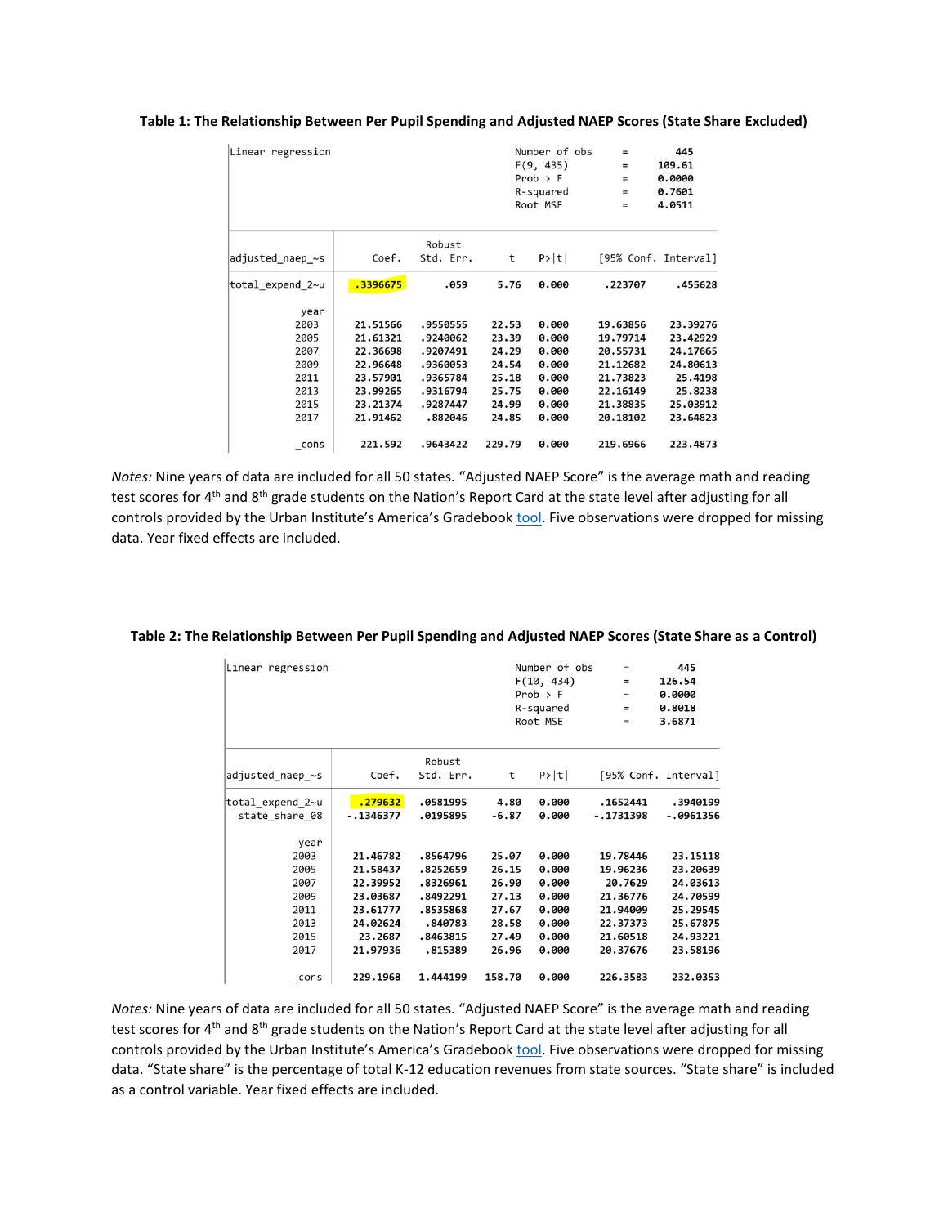| Linear regression |          |           | Number of obs<br>F(9, 435) |              | $\qquad \qquad =$ | 445                  |
|-------------------|----------|-----------|----------------------------|--------------|-------------------|----------------------|
|                   |          |           |                            |              | $\equiv$          | 109.61               |
|                   |          |           |                            | $Prob$ > $F$ | $=$               | 0.0000               |
|                   |          |           |                            | R-squared    | $=$               | 0.7601               |
|                   |          |           | Root MSE                   |              | $=$               | 4.0511               |
|                   |          | Robust    |                            |              |                   |                      |
| adjusted naep ~s  | Coef.    | Std. Err. | t                          | P> t         |                   | [95% Conf. Interval] |
| total expend 2~u  | .3396675 | .059      | 5.76                       | 0.000        | .223707           | .455628              |
| year              |          |           |                            |              |                   |                      |
| 2003              | 21.51566 | .9550555  | 22.53                      | 0.000        | 19.63856          | 23.39276             |
| 2005              | 21.61321 | .9240062  | 23.39                      | 0.000        | 19.79714          | 23.42929             |
| 2007              | 22.36698 | .9207491  | 24.29                      | 0.000        | 20.55731          | 24.17665             |
| 2009              | 22.96648 | .9360053  | 24.54                      | 0.000        | 21.12682          | 24.80613             |
| 2011              | 23.57901 | .9365784  | 25.18                      | 0.000        | 21.73823          | 25.4198              |
| 2013              | 23,99265 | .9316794  | 25.75                      | 0.000        | 22.16149          | 25,8238              |
| 2015              | 23.21374 | .9287447  | 24.99                      | 0.000        | 21.38835          | 25.03912             |
| 2017              | 21.91462 | .882046   | 24.85                      | 0.000        | 20.18102          | 23.64823             |
| cons              | 221.592  | .9643422  | 229.79                     | 0.000        | 219.6966          | 223.4873             |

## **Table 1: The Relationship Between Per Pupil Spending and Adjusted NAEP Scores (State Share Excluded)**

*Notes:* Nine years of data are included for all 50 states. "Adjusted NAEP Score" is the average math and reading test scores for 4<sup>th</sup> and 8<sup>th</sup> grade students on the Nation's Report Card at the state level after adjusting for all controls provided by the Urban Institute's America's Gradebook [tool.](http://apps.urban.org/features/naep/) Five observations were dropped for missing data. Year fixed effects are included.

| Linear regression                                 |                                                          |                                                          | Number of obs<br>F(10, 434)<br>$Prob$ > $F$<br>R-squared<br>Root MSE |                                           | $=$<br>$=$<br>$=$<br>$=$<br>Ξ                           | 445<br>126.54<br>0.0000<br>0.8018<br>3.6871              |
|---------------------------------------------------|----------------------------------------------------------|----------------------------------------------------------|----------------------------------------------------------------------|-------------------------------------------|---------------------------------------------------------|----------------------------------------------------------|
| adjusted naep ~s                                  | Coef.                                                    | Robust<br>Std. Err.                                      | t                                                                    | P> t                                      |                                                         | [95% Conf. Interval]                                     |
| total_expend_2~u<br>state share 08                | .279632<br>$-.1346377$                                   | .0581995<br>.0195895                                     | 4.80<br>$-6.87$                                                      | 0.000<br>0.000                            | .1652441<br>$-.1731398$                                 | .3940199<br>$-.0961356$                                  |
| year<br>2003<br>2005<br>2007<br>2009<br>2011      | 21.46782<br>21.58437<br>22.39952<br>23.03687<br>23.61777 | .8564796<br>.8252659<br>.8326961<br>.8492291<br>.8535868 | 25.07<br>26.15<br>26.90<br>27.13<br>27.67                            | 0.000<br>0.000<br>0.000<br>0.000<br>0.000 | 19.78446<br>19.96236<br>20.7629<br>21.36776<br>21.94009 | 23.15118<br>23.20639<br>24.03613<br>24.70599<br>25.29545 |
| 2013<br>2015<br>2017<br>$_{\text{-} \text{cons}}$ | 24.02624<br>23.2687<br>21.97936<br>229,1968              | .840783<br>.8463815<br>.815389<br>1.444199               | 28.58<br>27.49<br>26.96<br>158.70                                    | 0.000<br>0.000<br>0.000<br>0.000          | 22.37373<br>21.60518<br>20.37676<br>226.3583            | 25.67875<br>24.93221<br>23.58196<br>232.0353             |

## **Table 2: The Relationship Between Per Pupil Spending and Adjusted NAEP Scores (State Share as a Control)**

*Notes:* Nine years of data are included for all 50 states. "Adjusted NAEP Score" is the average math and reading test scores for 4<sup>th</sup> and 8<sup>th</sup> grade students on the Nation's Report Card at the state level after adjusting for all controls provided by the Urban Institute's America's Gradebook [tool.](http://apps.urban.org/features/naep/) Five observations were dropped for missing data. "State share" is the percentage of total K-12 education revenues from state sources. "State share" is included as a control variable. Year fixed effects are included.